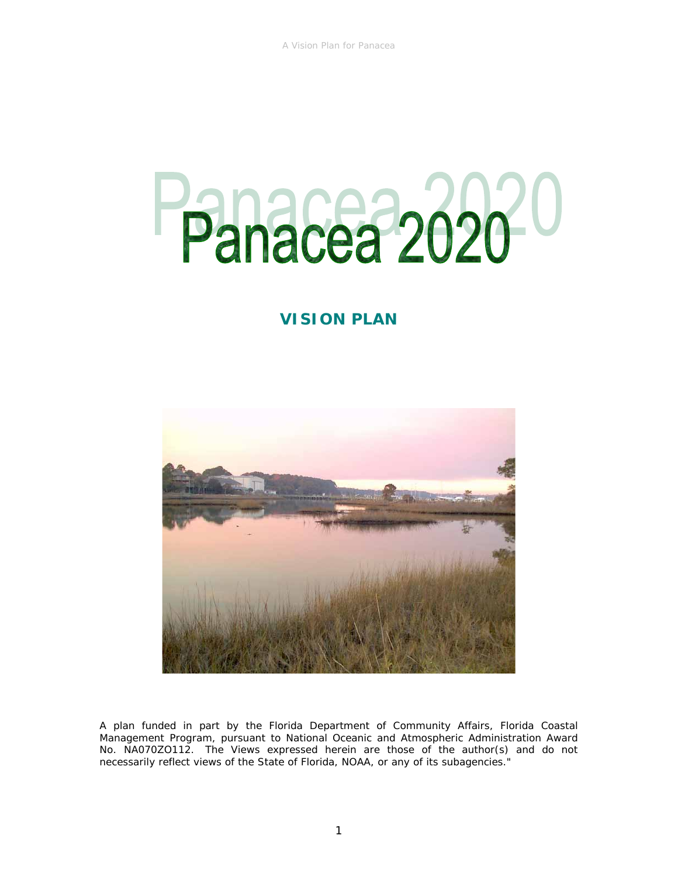# Panacea 2020<sup>-0</sup>

# **VISION PLAN**



A plan funded in part by the Florida Department of Community Affairs, Florida Coastal Management Program, pursuant to National Oceanic and Atmospheric Administration Award No. NA070ZO112. The Views expressed herein are those of the author(s) and do not necessarily reflect views of the State of Florida, NOAA, or any of its subagencies."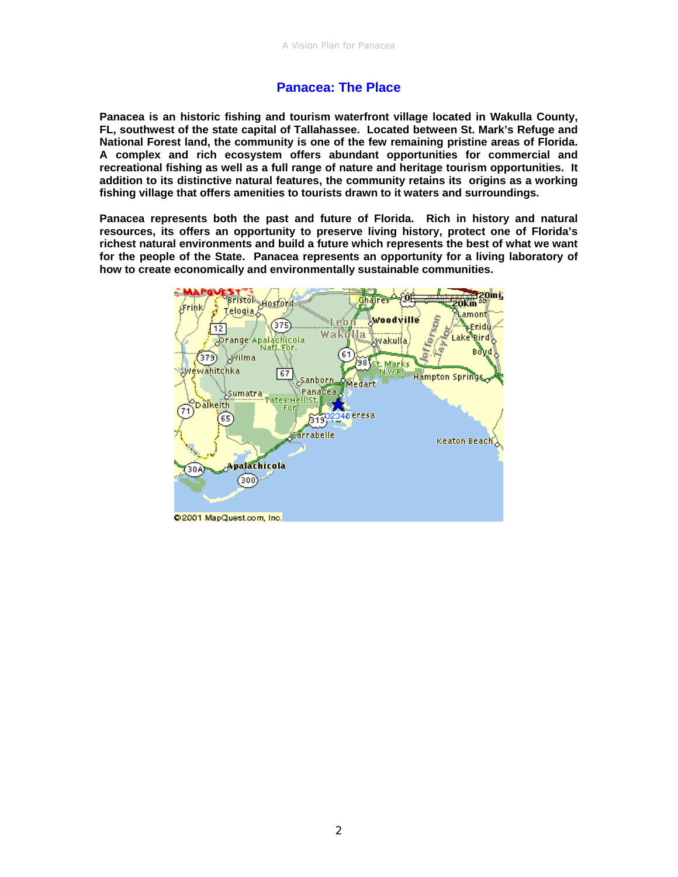# **Panacea: The Place**

**Panacea is an historic fishing and tourism waterfront village located in Wakulla County, FL, southwest of the state capital of Tallahassee. Located between St. Mark's Refuge and National Forest land, the community is one of the few remaining pristine areas of Florida. A complex and rich ecosystem offers abundant opportunities for commercial and recreational fishing as well as a full range of nature and heritage tourism opportunities. It addition to its distinctive natural features, the community retains its origins as a working fishing village that offers amenities to tourists drawn to it waters and surroundings.** 

**Panacea represents both the past and future of Florida. Rich in history and natural resources, its offers an opportunity to preserve living history, protect one of Florida's richest natural environments and build a future which represents the best of what we want for the people of the State. Panacea represents an opportunity for a living laboratory of how to create economically and environmentally sustainable communities.** 

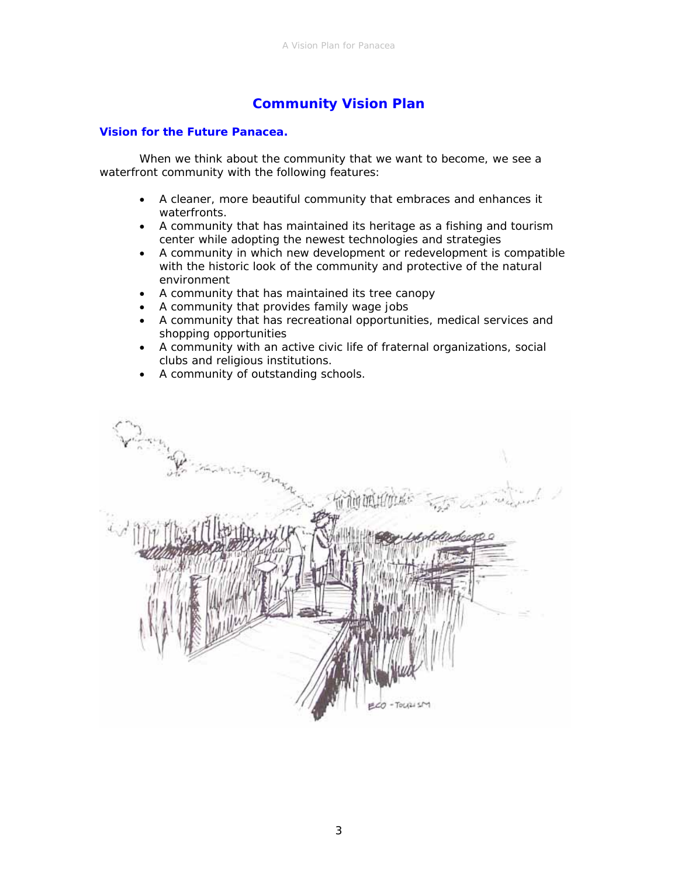# **Community Vision Plan**

### *Vision for the Future Panacea.*

 When we think about the community that we want to become, we see a waterfront community with the following features:

- A cleaner, more beautiful community that embraces and enhances it waterfronts.
- A community that has maintained its heritage as a fishing and tourism center while adopting the newest technologies and strategies
- A community in which new development or redevelopment is compatible with the historic look of the community and protective of the natural environment
- A community that has maintained its tree canopy
- A community that provides family wage jobs
- A community that has recreational opportunities, medical services and shopping opportunities
- A community with an active civic life of fraternal organizations, social clubs and religious institutions.
- A community of outstanding schools.

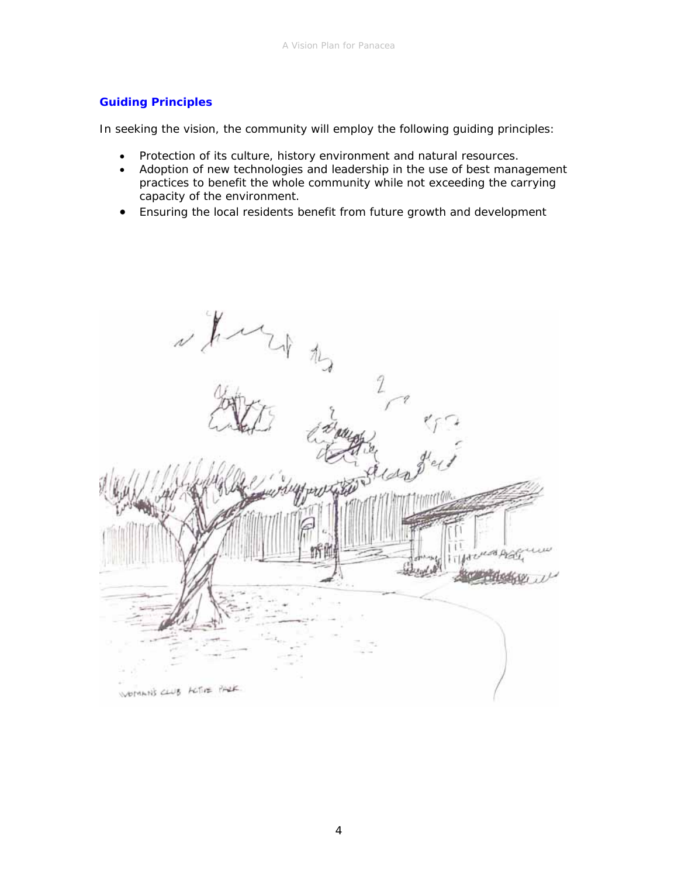# *Guiding Principles*

In seeking the vision, the community will employ the following guiding principles:

- Protection of its culture, history environment and natural resources.
- Adoption of new technologies and leadership in the use of best management practices to benefit the whole community while not exceeding the carrying capacity of the environment.
- Ensuring the local residents benefit from future growth and development

they Cardian WOMAN'S CLUB ACTIVE PARK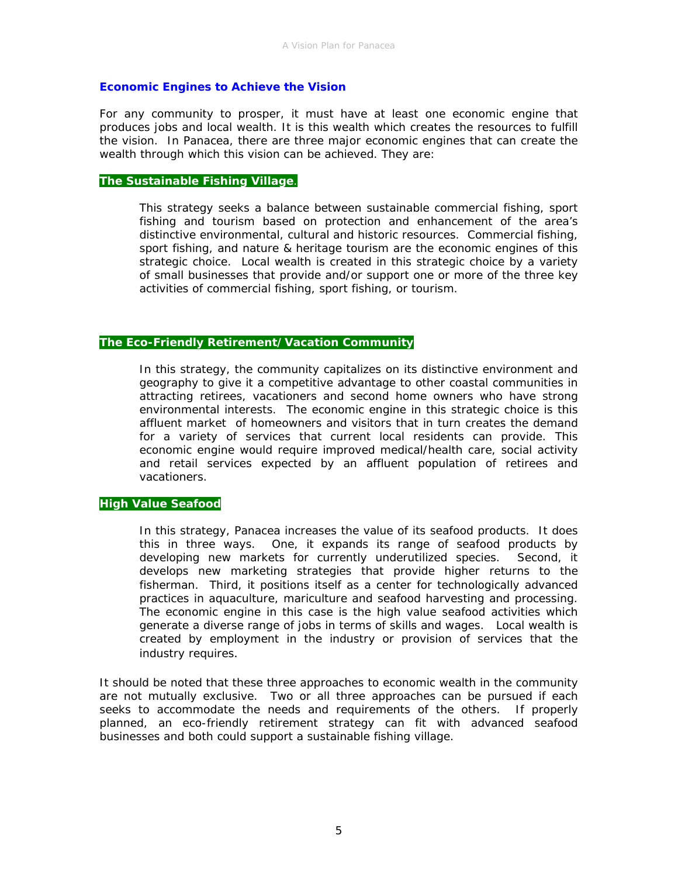### *Economic Engines to Achieve the Vision*

For any community to prosper, it must have at least one economic engine that produces jobs and local wealth. It is this wealth which creates the resources to fulfill the vision. In Panacea, there are three major economic engines that can create the wealth through which this vision can be achieved. They are:

# **The Sustainable Fishing Village**.

This strategy seeks a balance between sustainable commercial fishing, sport fishing and tourism based on protection and enhancement of the area's distinctive environmental, cultural and historic resources. Commercial fishing, sport fishing, and nature & heritage tourism are the economic engines of this strategic choice. Local wealth is created in this strategic choice by a variety of small businesses that provide and/or support one or more of the three key activities of commercial fishing, sport fishing, or tourism.

### **The Eco-Friendly Retirement/Vacation Community**

In this strategy, the community capitalizes on its distinctive environment and geography to give it a competitive advantage to other coastal communities in attracting retirees, vacationers and second home owners who have strong environmental interests. The economic engine in this strategic choice is this affluent market of homeowners and visitors that in turn creates the demand for a variety of services that current local residents can provide. This economic engine would require improved medical/health care, social activity and retail services expected by an affluent population of retirees and vacationers.

### **High Value Seafood**

In this strategy, Panacea increases the value of its seafood products. It does this in three ways. One, it expands its range of seafood products by developing new markets for currently underutilized species. Second, it develops new marketing strategies that provide higher returns to the fisherman. Third, it positions itself as a center for technologically advanced practices in aquaculture, mariculture and seafood harvesting and processing. The economic engine in this case is the high value seafood activities which generate a diverse range of jobs in terms of skills and wages. Local wealth is created by employment in the industry or provision of services that the industry requires.

It should be noted that these three approaches to economic wealth in the community are not mutually exclusive. Two or all three approaches can be pursued if each seeks to accommodate the needs and requirements of the others. If properly planned, an eco-friendly retirement strategy can fit with advanced seafood businesses and both could support a sustainable fishing village.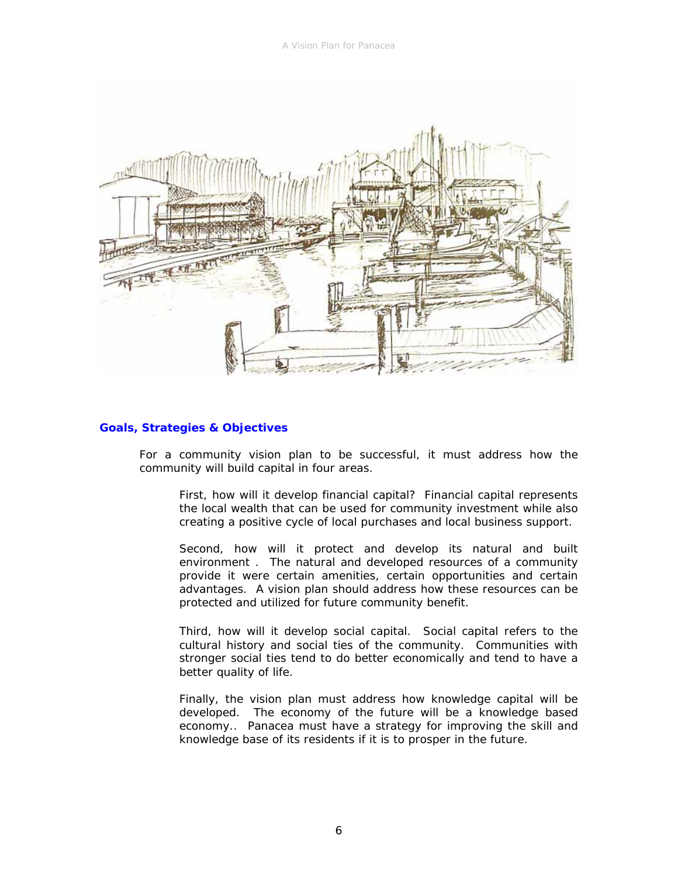A Vision Plan for Panacea



### *Goals, Strategies & Objectives*

For a community vision plan to be successful, it must address how the community will build capital in four areas.

First, how will it develop financial capital? Financial capital represents the local wealth that can be used for community investment while also creating a positive cycle of local purchases and local business support.

Second, how will it protect and develop its natural and built environment . The natural and developed resources of a community provide it were certain amenities, certain opportunities and certain advantages. A vision plan should address how these resources can be protected and utilized for future community benefit.

Third, how will it develop social capital. Social capital refers to the cultural history and social ties of the community. Communities with stronger social ties tend to do better economically and tend to have a better quality of life.

Finally, the vision plan must address how knowledge capital will be developed. The economy of the future will be a knowledge based economy.. Panacea must have a strategy for improving the skill and knowledge base of its residents if it is to prosper in the future.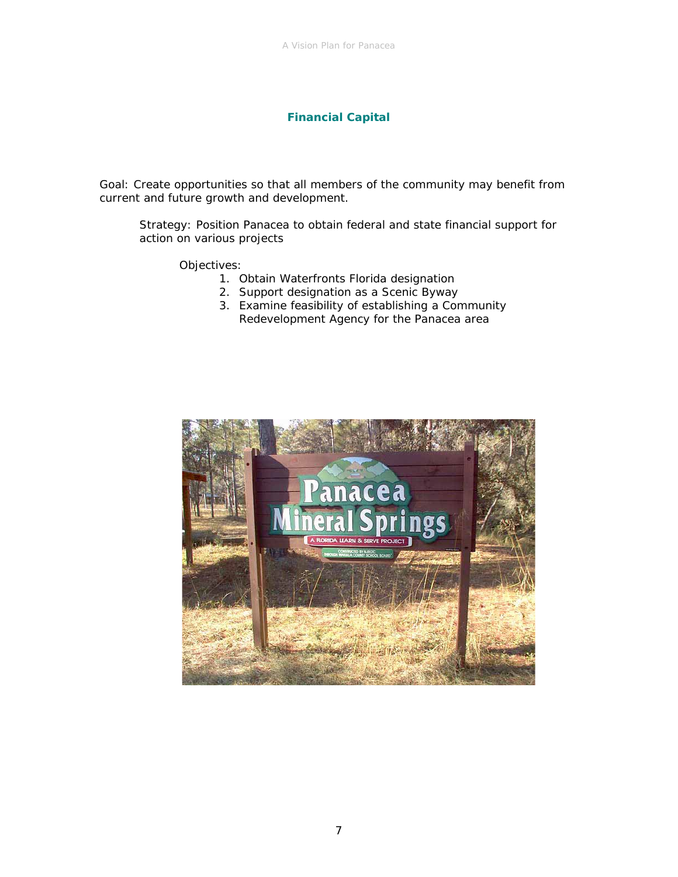## **Financial Capital**

Goal: Create opportunities so that all members of the community may benefit from current and future growth and development.

Strategy: Position Panacea to obtain federal and state financial support for action on various projects

- 1. Obtain Waterfronts Florida designation
- 2. Support designation as a Scenic Byway
- 3. Examine feasibility of establishing a Community Redevelopment Agency for the Panacea area

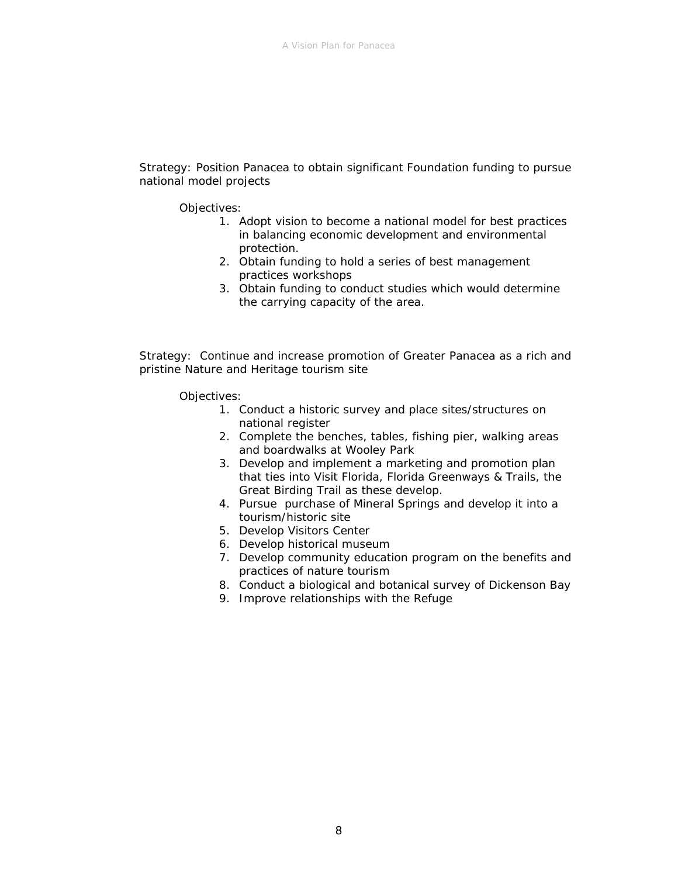Strategy: Position Panacea to obtain significant Foundation funding to pursue national model projects

Objectives:

- 1. Adopt vision to become a national model for best practices in balancing economic development and environmental protection.
- 2. Obtain funding to hold a series of best management practices workshops
- 3. Obtain funding to conduct studies which would determine the carrying capacity of the area.

Strategy: Continue and increase promotion of Greater Panacea as a rich and pristine Nature and Heritage tourism site

- 1. Conduct a historic survey and place sites/structures on national register
- 2. Complete the benches, tables, fishing pier, walking areas and boardwalks at Wooley Park
- 3. Develop and implement a marketing and promotion plan that ties into Visit Florida, Florida Greenways & Trails, the Great Birding Trail as these develop.
- 4. Pursue purchase of Mineral Springs and develop it into a tourism/historic site
- 5. Develop Visitors Center
- 6. Develop historical museum
- 7. Develop community education program on the benefits and practices of nature tourism
- 8. Conduct a biological and botanical survey of Dickenson Bay
- 9. Improve relationships with the Refuge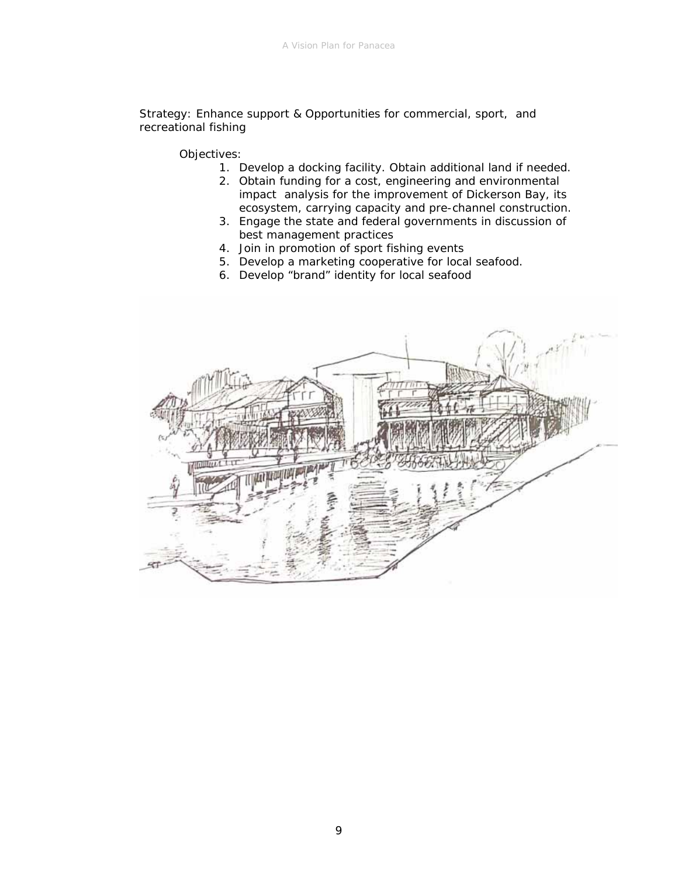Strategy: Enhance support & Opportunities for commercial, sport, and recreational fishing

- 1. Develop a docking facility. Obtain additional land if needed.
- 2. Obtain funding for a cost, engineering and environmental impact analysis for the improvement of Dickerson Bay, its ecosystem, carrying capacity and pre-channel construction.
- 3. Engage the state and federal governments in discussion of best management practices
- 4. Join in promotion of sport fishing events
- 5. Develop a marketing cooperative for local seafood.
- 6. Develop "brand" identity for local seafood

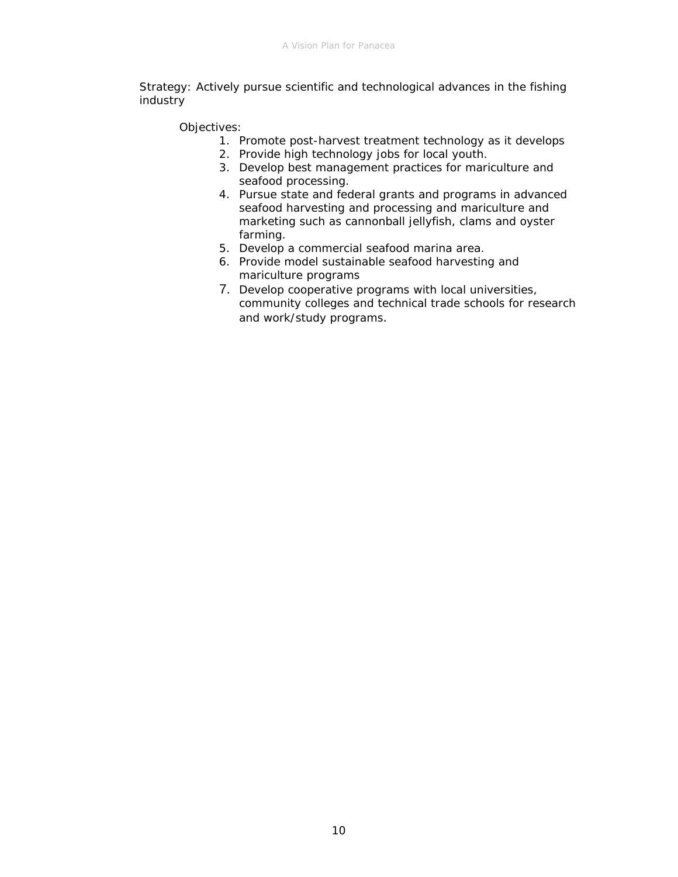Strategy: Actively pursue scientific and technological advances in the fishing industry

- 1. Promote post-harvest treatment technology as it develops
- 2. Provide high technology jobs for local youth.
- 3. Develop best management practices for mariculture and seafood processing.
- 4. Pursue state and federal grants and programs in advanced seafood harvesting and processing and mariculture and marketing such as cannonball jellyfish, clams and oyster farming.
- 5. Develop a commercial seafood marina area.
- 6. Provide model sustainable seafood harvesting and mariculture programs
- 7. Develop cooperative programs with local universities, community colleges and technical trade schools for research and work/study programs.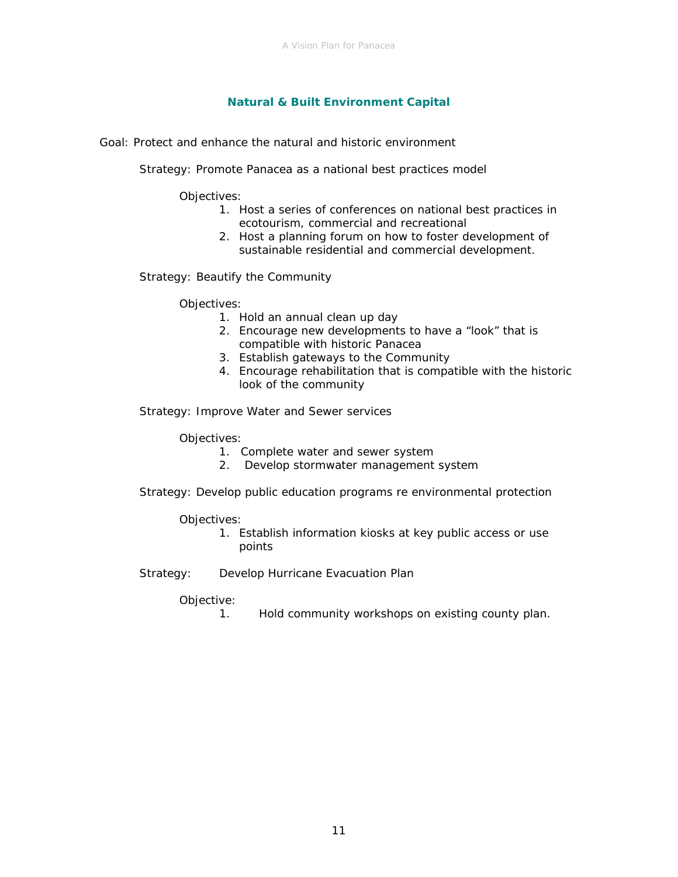### **Natural & Built Environment Capital**

Goal: Protect and enhance the natural and historic environment

Strategy: Promote Panacea as a national best practices model

Objectives:

- 1. Host a series of conferences on national best practices in ecotourism, commercial and recreational
- 2. Host a planning forum on how to foster development of sustainable residential and commercial development.

Strategy: Beautify the Community

Objectives:

- 1. Hold an annual clean up day
- 2. Encourage new developments to have a "look" that is compatible with historic Panacea
- 3. Establish gateways to the Community
- 4. Encourage rehabilitation that is compatible with the historic look of the community

Strategy: Improve Water and Sewer services

Objectives:

1. Complete water and sewer system

- 2. Develop stormwater management system
- Strategy: Develop public education programs re environmental protection

### Objectives:

- 1. Establish information kiosks at key public access or use points
- Strategy: Develop Hurricane Evacuation Plan

Objective:

1. Hold community workshops on existing county plan.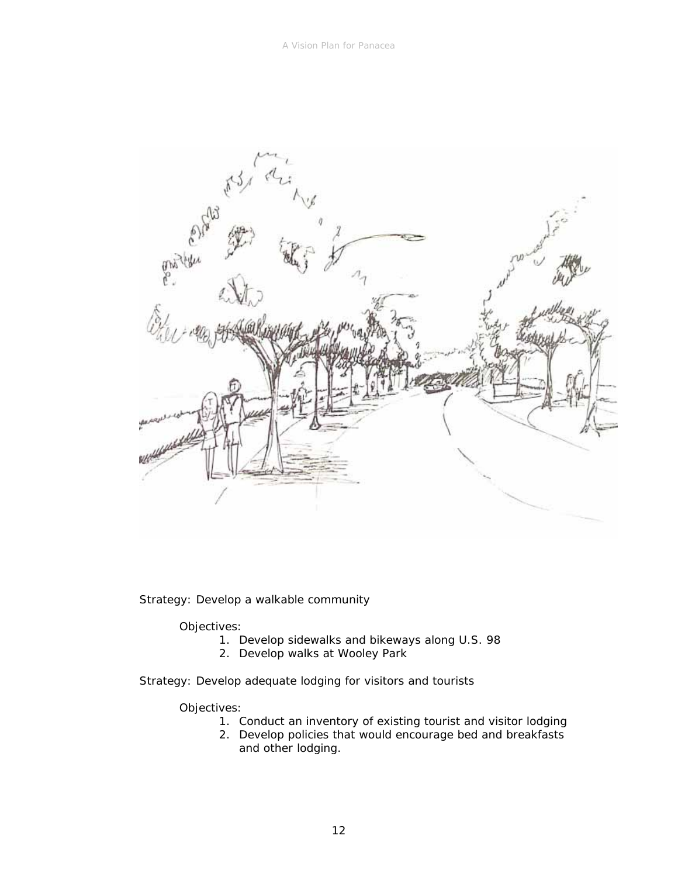

Strategy: Develop a walkable community

Objectives:

- 1. Develop sidewalks and bikeways along U.S. 98
- 2. Develop walks at Wooley Park

Strategy: Develop adequate lodging for visitors and tourists

- 1. Conduct an inventory of existing tourist and visitor lodging
- 2. Develop policies that would encourage bed and breakfasts and other lodging.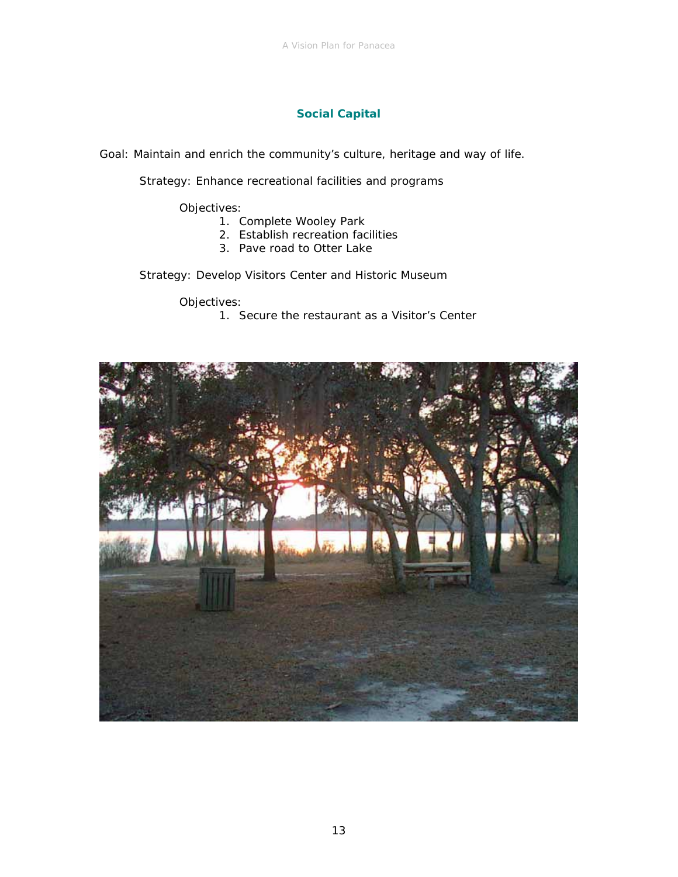# **Social Capital**

Goal: Maintain and enrich the community's culture, heritage and way of life.

Strategy: Enhance recreational facilities and programs

Objectives:

- 1. Complete Wooley Park
- 2. Establish recreation facilities
- 3. Pave road to Otter Lake

Strategy: Develop Visitors Center and Historic Museum

Objectives:

1. Secure the restaurant as a Visitor's Center

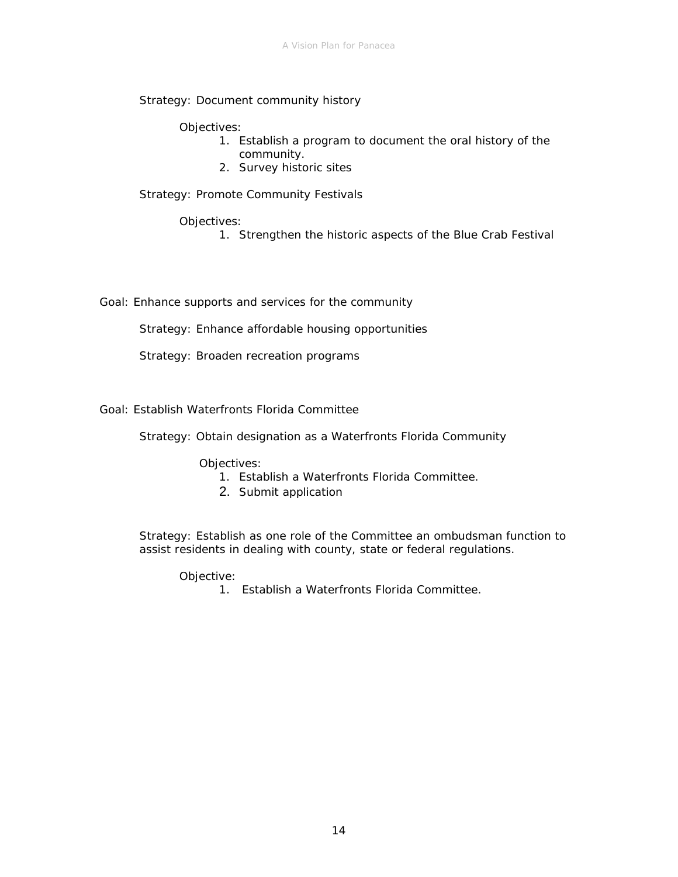Strategy: Document community history

Objectives:

- 1. Establish a program to document the oral history of the community.
- 2. Survey historic sites

Strategy: Promote Community Festivals

Objectives:

1. Strengthen the historic aspects of the Blue Crab Festival

Goal: Enhance supports and services for the community

Strategy: Enhance affordable housing opportunities

Strategy: Broaden recreation programs

Goal: Establish Waterfronts Florida Committee

Strategy: Obtain designation as a Waterfronts Florida Community

Objectives:

- 1. Establish a Waterfronts Florida Committee.
- 2. Submit application

Strategy: Establish as one role of the Committee an ombudsman function to assist residents in dealing with county, state or federal regulations.

Objective:

1. Establish a Waterfronts Florida Committee.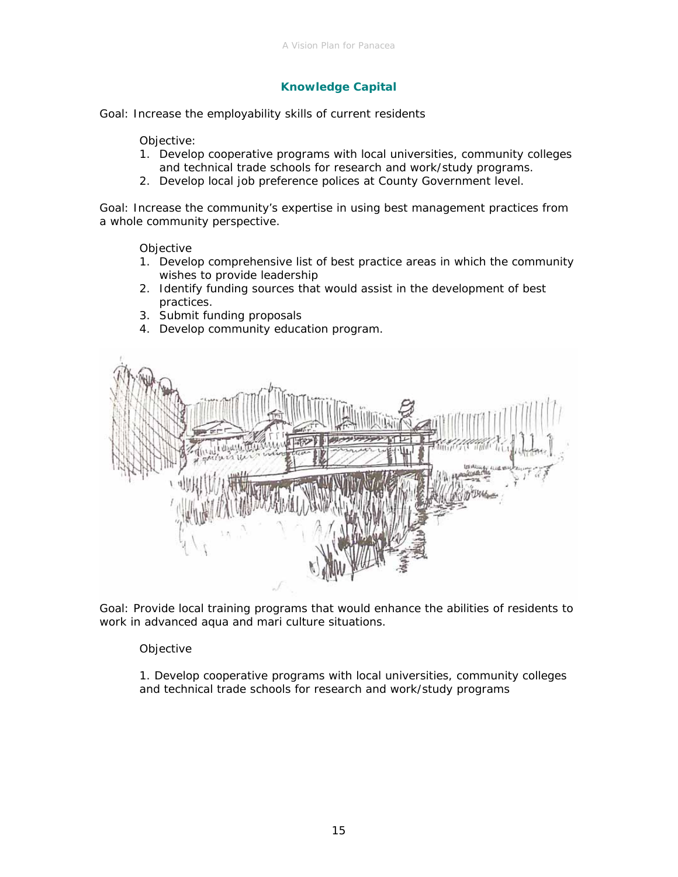# **Knowledge Capital**

Goal: Increase the employability skills of current residents

Objective:

- 1. Develop cooperative programs with local universities, community colleges and technical trade schools for research and work/study programs.
- 2. Develop local job preference polices at County Government level.

Goal: Increase the community's expertise in using best management practices from a whole community perspective.

**Objective** 

- 1. Develop comprehensive list of best practice areas in which the community wishes to provide leadership
- 2. Identify funding sources that would assist in the development of best practices.
- 3. Submit funding proposals
- 4. Develop community education program.



Goal: Provide local training programs that would enhance the abilities of residents to work in advanced aqua and mari culture situations.

Objective

1. Develop cooperative programs with local universities, community colleges and technical trade schools for research and work/study programs